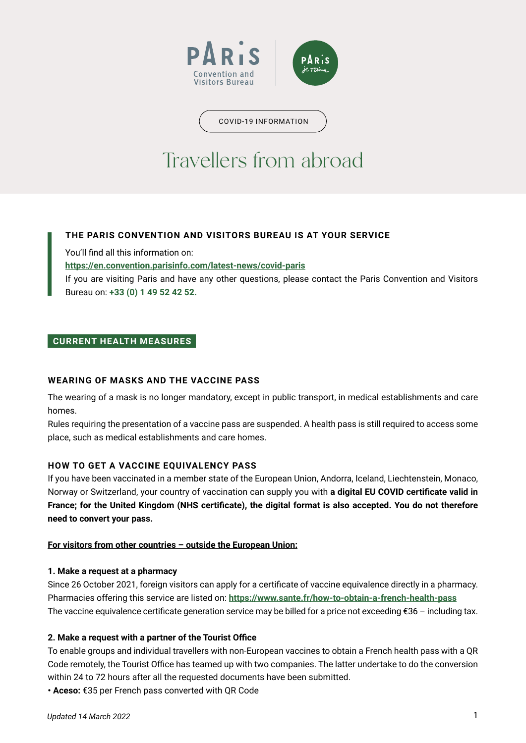

COVID-19 INFORMATION

# Travellers from abroad

# **THE PARIS CONVENTION AND VISITORS BUREAU IS AT YOUR SERVICE**

You'll find all this information on:

**<https://en.convention.parisinfo.com/latest-news/covid-paris>**

If you are visiting Paris and have any other questions, please contact the Paris Convention and Visitors Bureau on: **+33 (0) 1 49 52 42 52.**

# **CURRENT HEALTH MEASURES**

# **WEARING OF MASKS AND THE VACCINE PASS**

The wearing of a mask is no longer mandatory, except in public transport, in medical establishments and care homes.

Rules requiring the presentation of a vaccine pass are suspended. A health pass is still required to access some place, such as medical establishments and care homes.

# **HOW TO GET A VACCINE EQUIVALENCY PASS**

If you have been vaccinated in a member state of the European Union, Andorra, Iceland, Liechtenstein, Monaco, Norway or Switzerland, your country of vaccination can supply you with **a digital EU COVID certificate valid in France; for the United Kingdom (NHS certificate), the digital format is also accepted. You do not therefore need to convert your pass.** 

### **For visitors from other countries – outside the European Union:**

### **1. Make a request at a pharmacy**

Since 26 October 2021, foreign visitors can apply for a certificate of vaccine equivalence directly in a pharmacy. Pharmacies offering this service are listed on: **<https://www.sante.fr/how-to-obtain-a-french-health-pass>** The vaccine equivalence certificate generation service may be billed for a price not exceeding €36 – including tax.

### **2. Make a request with a partner of the Tourist Office**

To enable groups and individual travellers with non-European vaccines to obtain a French health pass with a QR Code remotely, the Tourist Office has teamed up with two companies. The latter undertake to do the conversion within 24 to 72 hours after all the requested documents have been submitted.

**• Aceso:** €35 per French pass converted with QR Code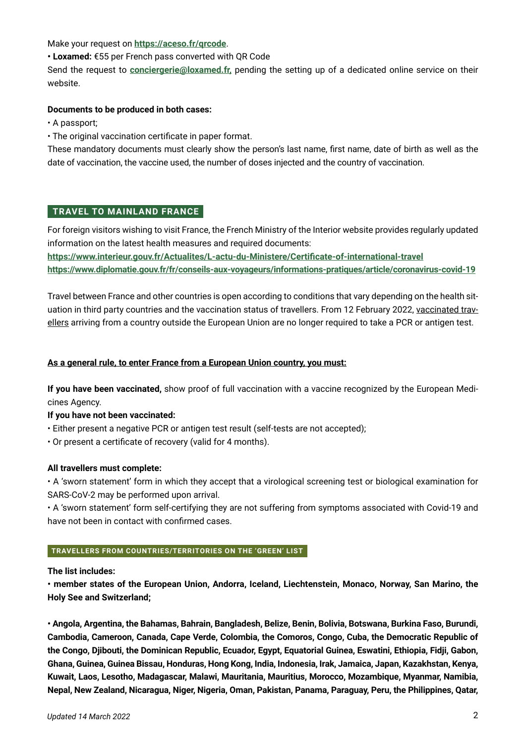Make your request on **<https://aceso.fr/qrcode>**.

**• Loxamed:** €55 per French pass converted with QR Code

Send the request to **[conciergerie@loxamed.fr,](mailto:conciergerie@loxamed.fr)** pending the setting up of a dedicated online service on their website.

## **Documents to be produced in both cases:**

• A passport;

• The original vaccination certificate in paper format.

These mandatory documents must clearly show the person's last name, first name, date of birth as well as the date of vaccination, the vaccine used, the number of doses injected and the country of vaccination.

# **TRAVEL TO MAINLAND FRANCE**

For foreign visitors wishing to visit France, the French Ministry of the Interior website provides regularly updated information on the latest health measures and required documents:

**<https://www.interieur.gouv.fr/Actualites/L-actu-du-Ministere/Certificate-of-international-travel> <https://www.diplomatie.gouv.fr/fr/conseils-aux-voyageurs/informations-pratiques/article/coronavirus-covid-19>**

Travel between France and other countries is open according to conditions that vary depending on the health situation in third party countries and the vaccination status of travellers. From 12 February 2022, vaccinated travellers arriving from a country outside the European Union are no longer required to take a PCR or antigen test.

## **As a general rule, to enter France from a European Union country, you must:**

**If you have been vaccinated,** show proof of full vaccination with a vaccine recognized by the European Medicines Agency.

**If you have not been vaccinated:**

- Either present a negative PCR or antigen test result (self-tests are not accepted);
- Or present a certificate of recovery (valid for 4 months).

### **All travellers must complete:**

• A 'sworn statement' form in which they accept that a virological screening test or biological examination for SARS-CoV-2 may be performed upon arrival.

• A 'sworn statement' form self-certifying they are not suffering from symptoms associated with Covid-19 and have not been in contact with confirmed cases.

### **TRAVELLERS FROM COUNTRIES/TERRITORIES ON THE 'GREEN' LIST**

**The list includes:**

**• member states of the European Union, Andorra, Iceland, Liechtenstein, Monaco, Norway, San Marino, the Holy See and Switzerland;**

**• Angola, Argentina, the Bahamas, Bahrain, Bangladesh, Belize, Benin, Bolivia, Botswana, Burkina Faso, Burundi, Cambodia, Cameroon, Canada, Cape Verde, Colombia, the Comoros, Congo, Cuba, the Democratic Republic of the Congo, Djibouti, the Dominican Republic, Ecuador, Egypt, Equatorial Guinea, Eswatini, Ethiopia, Fidji, Gabon, Ghana, Guinea, Guinea Bissau, Honduras, Hong Kong, India, Indonesia, Irak, Jamaica, Japan, Kazakhstan, Kenya, Kuwait, Laos, Lesotho, Madagascar, Malawi, Mauritania, Mauritius, Morocco, Mozambique, Myanmar, Namibia, Nepal, New Zealand, Nicaragua, Niger, Nigeria, Oman, Pakistan, Panama, Paraguay, Peru, the Philippines, Qatar,**